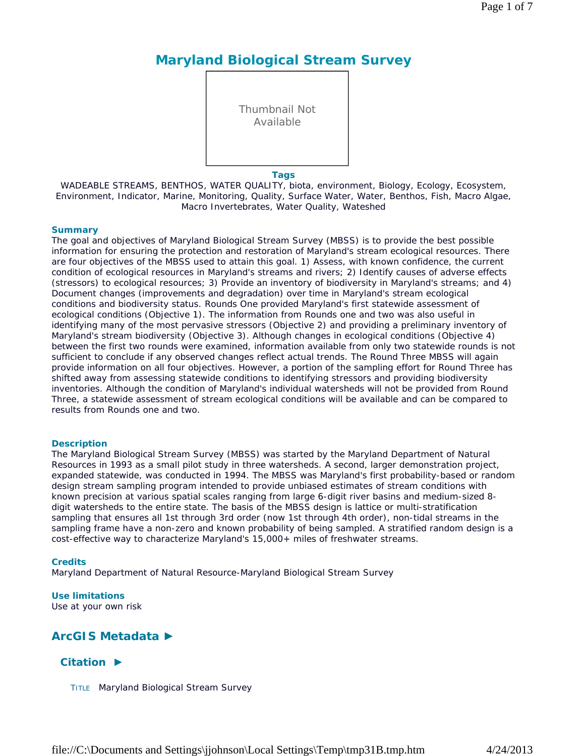# **Maryland Biological Stream Survey**

Thumbnail Not Available

**Tags**

WADEABLE STREAMS, BENTHOS, WATER QUALITY, biota, environment, Biology, Ecology, Ecosystem, Environment, Indicator, Marine, Monitoring, Quality, Surface Water, Water, Benthos, Fish, Macro Algae, Macro Invertebrates, Water Quality, Wateshed

#### **Summary**

The goal and objectives of Maryland Biological Stream Survey (MBSS) is to provide the best possible information for ensuring the protection and restoration of Maryland's stream ecological resources. There are four objectives of the MBSS used to attain this goal. 1) Assess, with known confidence, the current condition of ecological resources in Maryland's streams and rivers; 2) Identify causes of adverse effects (stressors) to ecological resources; 3) Provide an inventory of biodiversity in Maryland's streams; and 4) Document changes (improvements and degradation) over time in Maryland's stream ecological conditions and biodiversity status. Rounds One provided Maryland's first statewide assessment of ecological conditions (Objective 1). The information from Rounds one and two was also useful in identifying many of the most pervasive stressors (Objective 2) and providing a preliminary inventory of Maryland's stream biodiversity (Objective 3). Although changes in ecological conditions (Objective 4) between the first two rounds were examined, information available from only two statewide rounds is not sufficient to conclude if any observed changes reflect actual trends. The Round Three MBSS will again provide information on all four objectives. However, a portion of the sampling effort for Round Three has shifted away from assessing statewide conditions to identifying stressors and providing biodiversity inventories. Although the condition of Maryland's individual watersheds will not be provided from Round Three, a statewide assessment of stream ecological conditions will be available and can be compared to results from Rounds one and two.

### **Description**

The Maryland Biological Stream Survey (MBSS) was started by the Maryland Department of Natural Resources in 1993 as a small pilot study in three watersheds. A second, larger demonstration project, expanded statewide, was conducted in 1994. The MBSS was Maryland's first probability-based or random design stream sampling program intended to provide unbiased estimates of stream conditions with known precision at various spatial scales ranging from large 6-digit river basins and medium-sized 8 digit watersheds to the entire state. The basis of the MBSS design is lattice or multi-stratification sampling that ensures all 1st through 3rd order (now 1st through 4th order), non-tidal streams in the sampling frame have a non-zero and known probability of being sampled. A stratified random design is a cost-effective way to characterize Maryland's 15,000+ miles of freshwater streams.

#### **Credits**

Maryland Department of Natural Resource-Maryland Biological Stream Survey

#### **Use limitations** Use at your own risk

# **ArcGIS Metadata ►**

### **Citation ►**

TITLE Maryland Biological Stream Survey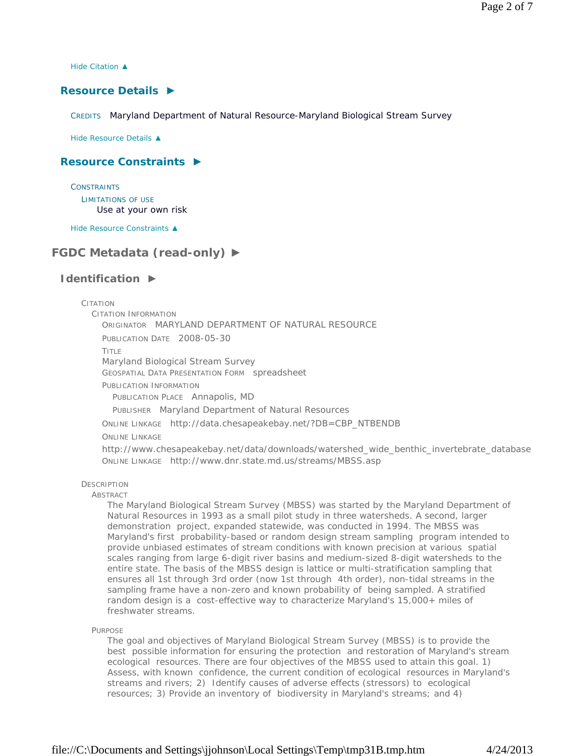*Hide Citation ▲*

### **Resource Details ►**

CREDITS Maryland Department of Natural Resource-Maryland Biological Stream Survey

*Hide Resource Details ▲*

### **Resource Constraints ►**

**CONSTRAINTS** LIMITATIONS OF USE Use at your own risk

*Hide Resource Constraints ▲*

# **FGDC Metadata (read-only) ►**

### **Identification ►**

**CITATION** 

CITATION INFORMATION ORIGINATOR MARYLAND DEPARTMENT OF NATURAL RESOURCE PUBLICATION DATE 2008-05-30 TITLE Maryland Biological Stream Survey GEOSPATIAL DATA PRESENTATION FORM spreadsheet PUBLICATION INFORMATION PUBLICATION PLACE Annapolis, MD PUBLISHER Maryland Department of Natural Resources ONLINE LINKAGE http://data.chesapeakebay.net/?DB=CBP\_NTBENDB ONLINE LINKAGE http://www.chesapeakebay.net/data/downloads/watershed\_wide\_benthic\_invertebrate\_database ONLINE LINKAGE http://www.dnr.state.md.us/streams/MBSS.asp

**DESCRIPTION** 

ABSTRACT

The Maryland Biological Stream Survey (MBSS) was started by the Maryland Department of Natural Resources in 1993 as a small pilot study in three watersheds. A second, larger demonstration project, expanded statewide, was conducted in 1994. The MBSS was Maryland's first probability-based or random design stream sampling program intended to provide unbiased estimates of stream conditions with known precision at various spatial scales ranging from large 6-digit river basins and medium-sized 8-digit watersheds to the entire state. The basis of the MBSS design is lattice or multi-stratification sampling that ensures all 1st through 3rd order (now 1st through 4th order), non-tidal streams in the sampling frame have a non-zero and known probability of being sampled. A stratified random design is a cost-effective way to characterize Maryland's 15,000+ miles of freshwater streams.

PURPOSE

The goal and objectives of Maryland Biological Stream Survey (MBSS) is to provide the best possible information for ensuring the protection and restoration of Maryland's stream ecological resources. There are four objectives of the MBSS used to attain this goal. 1) Assess, with known confidence, the current condition of ecological resources in Maryland's streams and rivers; 2) Identify causes of adverse effects (stressors) to ecological resources; 3) Provide an inventory of biodiversity in Maryland's streams; and 4)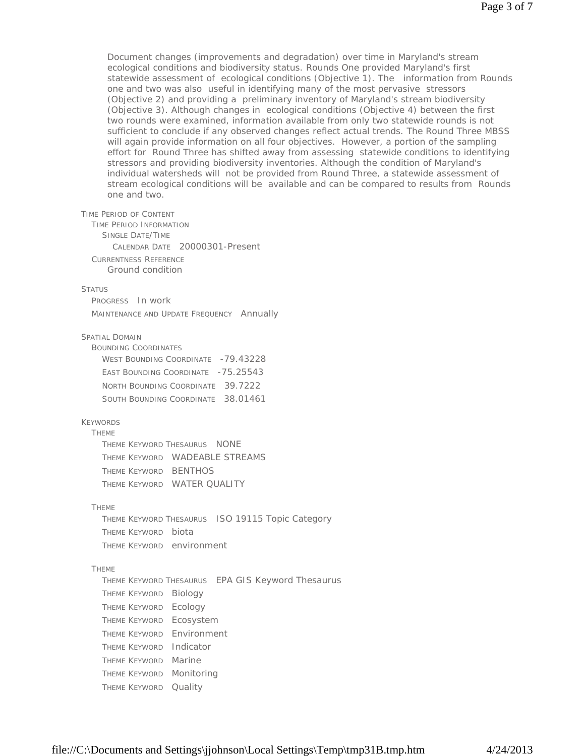Document changes (improvements and degradation) over time in Maryland's stream ecological conditions and biodiversity status. Rounds One provided Maryland's first statewide assessment of ecological conditions (Objective 1). The information from Rounds one and two was also useful in identifying many of the most pervasive stressors (Objective 2) and providing a preliminary inventory of Maryland's stream biodiversity (Objective 3). Although changes in ecological conditions (Objective 4) between the first two rounds were examined, information available from only two statewide rounds is not sufficient to conclude if any observed changes reflect actual trends. The Round Three MBSS will again provide information on all four objectives. However, a portion of the sampling effort for Round Three has shifted away from assessing statewide conditions to identifying stressors and providing biodiversity inventories. Although the condition of Maryland's individual watersheds will not be provided from Round Three, a statewide assessment of stream ecological conditions will be available and can be compared to results from Rounds one and two.

TIME PERIOD OF CONTENT

TIME PERIOD INFORMATION SINGLE DATE/TIME CALENDAR DATE 20000301-Present CURRENTNESS REFERENCE Ground condition

#### **STATUS**

PROGRESS In work MAINTENANCE AND UPDATE FREQUENCY Annually

#### SPATIAL DOMAIN

| <b>BOUNDING COORDINATES</b>        |  |
|------------------------------------|--|
| WEST BOUNDING COORDINATE -79.43228 |  |
| EAST BOUNDING COORDINATE -75.25543 |  |
| NORTH BOUNDING COORDINATE 39.7222  |  |
| SOUTH BOUNDING COORDINATE 38.01461 |  |

#### KEYWORDS

| <b>THEME</b>                   |  |
|--------------------------------|--|
| THEME KEYWORD THESAURUS NONE   |  |
| THEME KEYWORD WADEABLE STRFAMS |  |
| THEME KEYWORD BENTHOS          |  |
| THEME KEYWORD WATER OUAL ITY   |  |

#### **THEME**

THEME KEYWORD THESAURUS ISO 19115 Topic Category THEME KEYWORD biota THEME KEYWORD environment

#### THEME

THEME KEYWORD THESAURUS EPA GIS Keyword Thesaurus THEME KEYWORD Biology THEME KEYWORD Ecology THEME KEYWORD Ecosystem THEME KEYWORD Environment THEME KEYWORD Indicator THEME KEYWORD Marine THEME KEYWORD Monitoring THEME KEYWORD Quality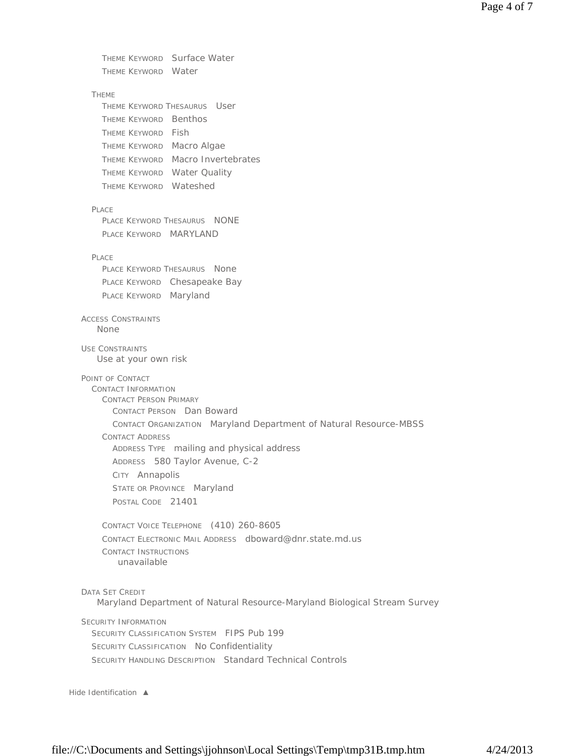THEME KEYWORD Surface Water THEME KEYWORD Water

# THEME

|                    | THEME KEYWORD THESAURUS USER      |
|--------------------|-----------------------------------|
|                    | THEME KEYWORD Benthos             |
| THEME KEYWORD Fish |                                   |
|                    | THEME KEYWORD Macro Algae         |
|                    | THEME KEYWORD Macro Invertebrates |
|                    | THEME KEYWORD Water Quality       |
|                    | THEME KEYWORD Wateshed            |

#### PLACE

PLACE KEYWORD THESAURUS NONE PLACE KEYWORD MARYLAND

#### PLACE

PLACE KEYWORD THESAURUS None PLACE KEYWORD Chesapeake Bay PLACE KEYWORD Maryland

ACCESS CONSTRAINTS None

USE CONSTRAINTS Use at your own risk

#### POINT OF CONTACT

CONTACT INFORMATION CONTACT PERSON PRIMARY CONTACT PERSON Dan Boward CONTACT ORGANIZATION Maryland Department of Natural Resource-MBSS CONTACT ADDRESS ADDRESS TYPE mailing and physical address ADDRESS 580 Taylor Avenue, C-2 CITY Annapolis STATE OR PROVINCE Maryland POSTAL CODE 21401

CONTACT VOICE TELEPHONE (410) 260-8605 CONTACT ELECTRONIC MAIL ADDRESS dboward@dnr.state.md.us CONTACT INSTRUCTIONS unavailable

DATA SET CREDIT Maryland Department of Natural Resource-Maryland Biological Stream Survey

SECURITY INFORMATION SECURITY CLASSIFICATION SYSTEM FIPS Pub 199 SECURITY CLASSIFICATION No Confidentiality SECURITY HANDLING DESCRIPTION Standard Technical Controls

*Hide Identification ▲*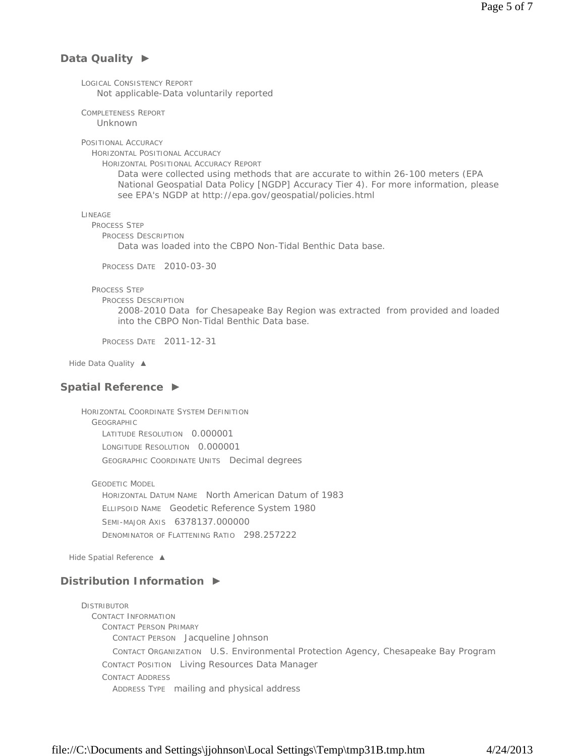# **Data Quality ►**

LOGICAL CONSISTENCY REPORT Not applicable-Data voluntarily reported

COMPLETENESS REPORT

Unknown

POSITIONAL ACCURACY

HORIZONTAL POSITIONAL ACCURACY

HORIZONTAL POSITIONAL ACCURACY REPORT

Data were collected using methods that are accurate to within 26-100 meters (EPA National Geospatial Data Policy [NGDP] Accuracy Tier 4). For more information, please see EPA's NGDP at http://epa.gov/geospatial/policies.html

LINEAGE

PROCESS STEP PROCESS DESCRIPTION Data was loaded into the CBPO Non-Tidal Benthic Data base.

PROCESS DATE 2010-03-30

PROCESS STEP

PROCESS DESCRIPTION

2008-2010 Data for Chesapeake Bay Region was extracted from provided and loaded into the CBPO Non-Tidal Benthic Data base.

PROCESS DATE 2011-12-31

*Hide Data Quality ▲*

# **Spatial Reference ►**

HORIZONTAL COORDINATE SYSTEM DEFINITION GEOGRAPHIC LATITUDE RESOLUTION 0.000001 LONGITUDE RESOLUTION 0.000001 GEOGRAPHIC COORDINATE UNITS Decimal degrees

GEODETIC MODEL

HORIZONTAL DATUM NAME North American Datum of 1983 ELLIPSOID NAME Geodetic Reference System 1980 SEMI-MAJOR AXIS 6378137.000000 DENOMINATOR OF FLATTENING RATIO 298.257222

*Hide Spatial Reference ▲*

# **Distribution Information ►**

**DISTRIBUTOR** CONTACT INFORMATION CONTACT PERSON PRIMARY CONTACT PERSON Jacqueline Johnson CONTACT ORGANIZATION U.S. Environmental Protection Agency, Chesapeake Bay Program CONTACT POSITION Living Resources Data Manager CONTACT ADDRESS ADDRESS TYPE mailing and physical address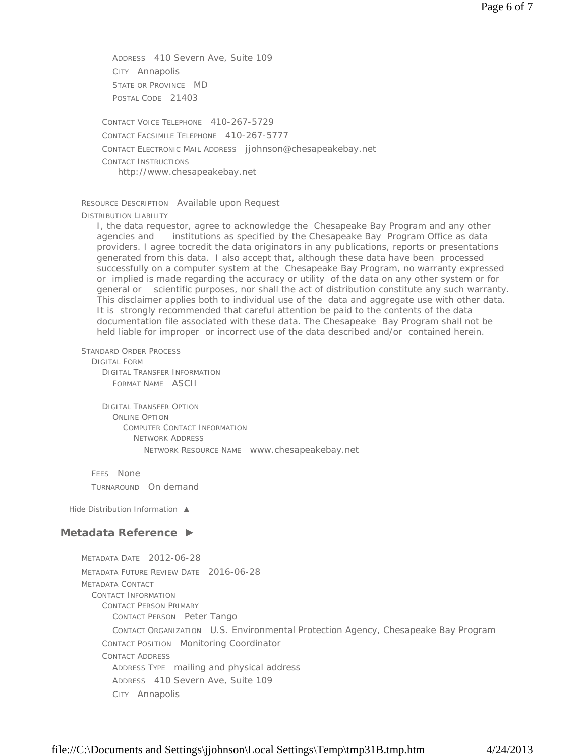ADDRESS 410 Severn Ave, Suite 109 CITY Annapolis STATE OR PROVINCE MD POSTAL CODE 21403

CONTACT VOICE TELEPHONE 410-267-5729 CONTACT FACSIMILE TELEPHONE 410-267-5777 CONTACT ELECTRONIC MAIL ADDRESS jjohnson@chesapeakebay.net CONTACT INSTRUCTIONS http://www.chesapeakebay.net

RESOURCE DESCRIPTION Available upon Request DISTRIBUTION LIABILITY

I, the data requestor, agree to acknowledge the Chesapeake Bay Program and any other agencies and institutions as specified by the Chesapeake Bay Program Office as data providers. I agree tocredit the data originators in any publications, reports or presentations generated from this data. I also accept that, although these data have been processed successfully on a computer system at the Chesapeake Bay Program, no warranty expressed or implied is made regarding the accuracy or utility of the data on any other system or for general or scientific purposes, nor shall the act of distribution constitute any such warranty. This disclaimer applies both to individual use of the data and aggregate use with other data. It is strongly recommended that careful attention be paid to the contents of the data documentation file associated with these data. The Chesapeake Bay Program shall not be held liable for improper or incorrect use of the data described and/or contained herein.

STANDARD ORDER PROCESS

DIGITAL FORM DIGITAL TRANSFER INFORMATION FORMAT NAME ASCII

DIGITAL TRANSFER OPTION ONLINE OPTION COMPUTER CONTACT INFORMATION NETWORK ADDRESS NETWORK RESOURCE NAME www.chesapeakebay.net

FEES None TURNAROUND On demand

*Hide Distribution Information ▲*

### **Metadata Reference ►**

METADATA DATE 2012-06-28 METADATA FUTURE REVIEW DATE 2016-06-28 METADATA CONTACT CONTACT INFORMATION CONTACT PERSON PRIMARY CONTACT PERSON Peter Tango CONTACT ORGANIZATION U.S. Environmental Protection Agency, Chesapeake Bay Program CONTACT POSITION Monitoring Coordinator CONTACT ADDRESS ADDRESS TYPE mailing and physical address ADDRESS 410 Severn Ave, Suite 109 CITY Annapolis